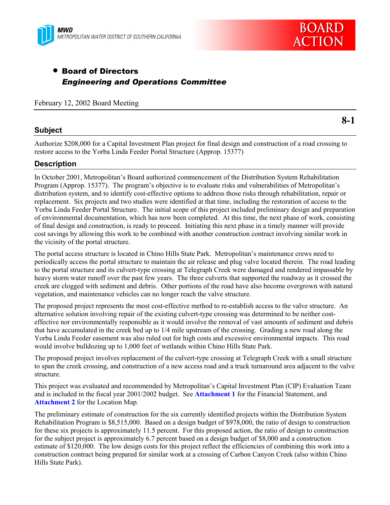



# • Board of Directors *Engineering and Operations Committee*

February 12, 2002 Board Meeting

#### **Subject**

Authorize \$208,000 for a Capital Investment Plan project for final design and construction of a road crossing to restore access to the Yorba Linda Feeder Portal Structure (Approp. 15377)

#### **Description**

In October 2001, Metropolitan's Board authorized commencement of the Distribution System Rehabilitation Program (Approp. 15377). The program's objective is to evaluate risks and vulnerabilities of Metropolitan's distribution system, and to identify cost-effective options to address those risks through rehabilitation, repair or replacement. Six projects and two studies were identified at that time, including the restoration of access to the Yorba Linda Feeder Portal Structure. The initial scope of this project included preliminary design and preparation of environmental documentation, which has now been completed. At this time, the next phase of work, consisting of final design and construction, is ready to proceed. Initiating this next phase in a timely manner will provide cost savings by allowing this work to be combined with another construction contract involving similar work in the vicinity of the portal structure.

The portal access structure is located in Chino Hills State Park. Metropolitan's maintenance crews need to periodically access the portal structure to maintain the air release and plug valve located therein. The road leading to the portal structure and its culvert-type crossing at Telegraph Creek were damaged and rendered impassable by heavy storm water runoff over the past few years. The three culverts that supported the roadway as it crossed the creek are clogged with sediment and debris. Other portions of the road have also become overgrown with natural vegetation, and maintenance vehicles can no longer reach the valve structure.

The proposed project represents the most cost-effective method to re-establish access to the valve structure. An alternative solution involving repair of the existing culvert-type crossing was determined to be neither costeffective nor environmentally responsible as it would involve the removal of vast amounts of sediment and debris that have accumulated in the creek bed up to 1/4 mile upstream of the crossing. Grading a new road along the Yorba Linda Feeder easement was also ruled out for high costs and excessive environmental impacts. This road would involve bulldozing up to 1,000 feet of wetlands within Chino Hills State Park.

The proposed project involves replacement of the culvert-type crossing at Telegraph Creek with a small structure to span the creek crossing, and construction of a new access road and a truck turnaround area adjacent to the valve structure.

This project was evaluated and recommended by Metropolitan's Capital Investment Plan (CIP) Evaluation Team and is included in the fiscal year 2001/2002 budget. See **Attachment 1** for the Financial Statement, and **Attachment 2** for the Location Map.

The preliminary estimate of construction for the six currently identified projects within the Distribution System Rehabilitation Program is \$8,515,000. Based on a design budget of \$978,000, the ratio of design to construction for these six projects is approximately 11.5 percent. For this proposed action, the ratio of design to construction for the subject project is approximately 6.7 percent based on a design budget of \$8,000 and a construction estimate of \$120,000. The low design costs for this project reflect the efficiencies of combining this work into a construction contract being prepared for similar work at a crossing of Carbon Canyon Creek (also within Chino Hills State Park).

**8-1**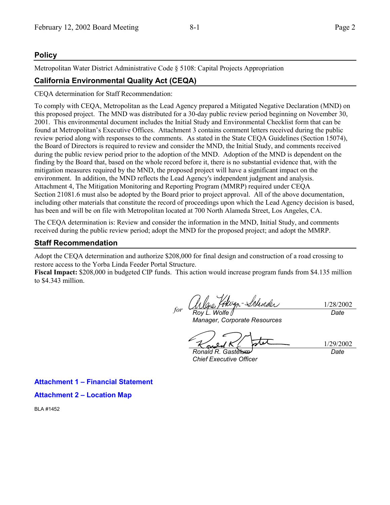### **Policy**

Metropolitan Water District Administrative Code § 5108: Capital Projects Appropriation

### **California Environmental Quality Act (CEQA)**

CEQA determination for Staff Recommendation:

To comply with CEQA, Metropolitan as the Lead Agency prepared a Mitigated Negative Declaration (MND) on this proposed project. The MND was distributed for a 30-day public review period beginning on November 30, 2001. This environmental document includes the Initial Study and Environmental Checklist form that can be found at Metropolitan's Executive Offices. Attachment 3 contains comment letters received during the public review period along with responses to the comments. As stated in the State CEQA Guidelines (Section 15074), the Board of Directors is required to review and consider the MND, the Initial Study, and comments received during the public review period prior to the adoption of the MND. Adoption of the MND is dependent on the finding by the Board that, based on the whole record before it, there is no substantial evidence that, with the mitigation measures required by the MND, the proposed project will have a significant impact on the environment. In addition, the MND reflects the Lead Agency's independent judgment and analysis. Attachment 4, The Mitigation Monitoring and Reporting Program (MMRP) required under CEQA Section 21081.6 must also be adopted by the Board prior to project approval. All of the above documentation, including other materials that constitute the record of proceedings upon which the Lead Agency decision is based, has been and will be on file with Metropolitan located at 700 North Alameda Street, Los Angeles, CA.

The CEQA determination is: Review and consider the information in the MND, Initial Study, and comments received during the public review period; adopt the MND for the proposed project; and adopt the MMRP.

#### **Staff Recommendation**

Adopt the CEQA determination and authorize \$208,000 for final design and construction of a road crossing to restore access to the Yorba Linda Feeder Portal Structure.

**Fiscal Impact:** \$208,000 in budgeted CIP funds. This action would increase program funds from \$4.135 million to \$4.343 million.

flugn-Schreder 1/28/2002 *for Roy L. Wolfe Date*

*Manager, Corporate Resources*

∾

1/29/2002 *Date*

*Ronald R. Gastelum Chief Executive Officer*

**Attachment 1 – Financial Statement**

**Attachment 2 – Location Map**

BLA #1452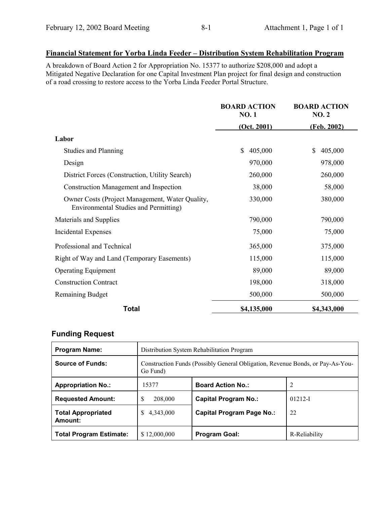# **Financial Statement for Yorba Linda Feeder – Distribution System Rehabilitation Program**

A breakdown of Board Action 2 for Appropriation No. 15377 to authorize \$208,000 and adopt a Mitigated Negative Declaration for one Capital Investment Plan project for final design and construction of a road crossing to restore access to the Yorba Linda Feeder Portal Structure.

|                                                                                                 | <b>BOARD ACTION</b><br><b>NO.1</b> | <b>BOARD ACTION</b><br><b>NO. 2</b> |
|-------------------------------------------------------------------------------------------------|------------------------------------|-------------------------------------|
|                                                                                                 | (Oct. 2001)                        | (Feb. 2002)                         |
| Labor                                                                                           |                                    |                                     |
| <b>Studies and Planning</b>                                                                     | 405,000<br>\$                      | \$<br>405,000                       |
| Design                                                                                          | 970,000                            | 978,000                             |
| District Forces (Construction, Utility Search)                                                  | 260,000                            | 260,000                             |
| <b>Construction Management and Inspection</b>                                                   | 38,000                             | 58,000                              |
| Owner Costs (Project Management, Water Quality,<br><b>Environmental Studies and Permitting)</b> | 330,000                            | 380,000                             |
| Materials and Supplies                                                                          | 790,000                            | 790,000                             |
| <b>Incidental Expenses</b>                                                                      | 75,000                             | 75,000                              |
| Professional and Technical                                                                      | 365,000                            | 375,000                             |
| Right of Way and Land (Temporary Easements)                                                     | 115,000                            | 115,000                             |
| <b>Operating Equipment</b>                                                                      | 89,000                             | 89,000                              |
| <b>Construction Contract</b>                                                                    | 198,000                            | 318,000                             |
| Remaining Budget                                                                                | 500,000                            | 500,000                             |
| <b>Total</b>                                                                                    | \$4,135,000                        | \$4,343,000                         |

# **Funding Request**

| <b>Program Name:</b>                 | Distribution System Rehabilitation Program                                                 |                                  |               |
|--------------------------------------|--------------------------------------------------------------------------------------------|----------------------------------|---------------|
| <b>Source of Funds:</b>              | Construction Funds (Possibly General Obligation, Revenue Bonds, or Pay-As-You-<br>Go Fund) |                                  |               |
| <b>Appropriation No.:</b>            | 15377                                                                                      | <b>Board Action No.:</b>         | 2             |
| <b>Requested Amount:</b>             | \$<br>208,000                                                                              | <b>Capital Program No.:</b>      | $01212 - I$   |
| <b>Total Appropriated</b><br>Amount: | S.<br>4,343,000                                                                            | <b>Capital Program Page No.:</b> | 22            |
| <b>Total Program Estimate:</b>       | \$12,000,000                                                                               | <b>Program Goal:</b>             | R-Reliability |